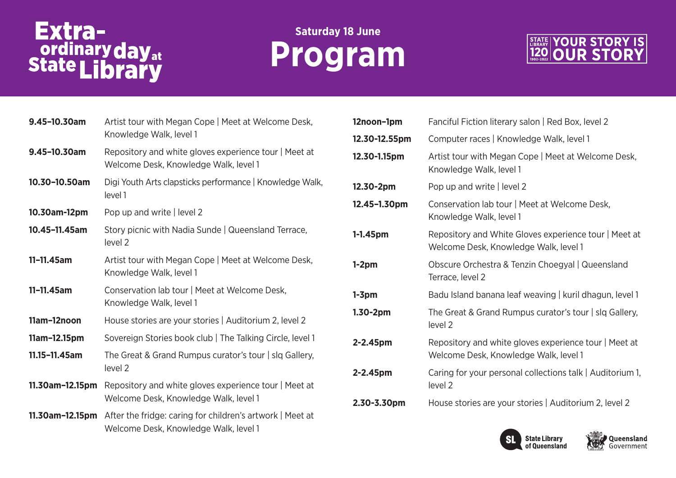# Extra-<br>
ordinary day<sub>at</sub><br>
State Library

### **Saturday 18 June Program**



| 9.45-10.30am    | Artist tour with Megan Cope   Meet at Welcome Desk,<br>Knowledge Walk, level 1                     |  |  |
|-----------------|----------------------------------------------------------------------------------------------------|--|--|
| 9.45-10.30am    | Repository and white gloves experience tour   Meet at<br>Welcome Desk, Knowledge Walk, level 1     |  |  |
| 10.30-10.50am   | Digi Youth Arts clapsticks performance   Knowledge Walk,<br>level 1                                |  |  |
| 10.30am-12pm    | Pop up and write   level 2                                                                         |  |  |
| 10.45-11.45am   | Story picnic with Nadia Sunde   Queensland Terrace,<br>level 2                                     |  |  |
| $11 - 11.45$ am | Artist tour with Megan Cope   Meet at Welcome Desk,<br>Knowledge Walk, level 1                     |  |  |
| 11-11.45am      | Conservation lab tour   Meet at Welcome Desk,<br>Knowledge Walk, level 1                           |  |  |
| 11am-12noon     | House stories are your stories   Auditorium 2, level 2                                             |  |  |
| 11am-12.15pm    | Sovereign Stories book club   The Talking Circle, level 1                                          |  |  |
| 11.15-11.45am   | The Great & Grand Rumpus curator's tour   slq Gallery,<br>level <sub>2</sub>                       |  |  |
| 11.30am-12.15pm | Repository and white gloves experience tour   Meet at<br>Welcome Desk, Knowledge Walk, level 1     |  |  |
| 11.30am-12.15pm | After the fridge: caring for children's artwork   Meet at<br>Welcome Desk, Knowledge Walk, level 1 |  |  |

| 12noon-1pm    | Fanciful Fiction literary salon   Red Box, level 2                                             |
|---------------|------------------------------------------------------------------------------------------------|
| 12.30-12.55pm | Computer races   Knowledge Walk, level 1                                                       |
| 12.30-1.15pm  | Artist tour with Megan Cope   Meet at Welcome Desk,<br>Knowledge Walk, level 1                 |
| 12.30-2pm     | Pop up and write   level 2                                                                     |
| 12.45-1.30pm  | Conservation lab tour   Meet at Welcome Desk,<br>Knowledge Walk, level 1                       |
| $1 - 1.45$ pm | Repository and White Gloves experience tour   Meet at<br>Welcome Desk, Knowledge Walk, level 1 |
| $1-2pm$       | Obscure Orchestra & Tenzin Choegyal   Queensland<br>Terrace, level 2                           |
| $1-3pm$       | Badu Island banana leaf weaving   kuril dhagun, level 1                                        |
| $1.30-2pm$    | The Great & Grand Rumpus curator's tour   slq Gallery,<br>level <sub>2</sub>                   |
| 2-2.45pm      | Repository and white gloves experience tour   Meet at<br>Welcome Desk, Knowledge Walk, level 1 |
| 2-2.45pm      | Caring for your personal collections talk   Auditorium 1,<br>level <sub>2</sub>                |
| 2.30-3.30pm   | House stories are your stories   Auditorium 2, level 2                                         |